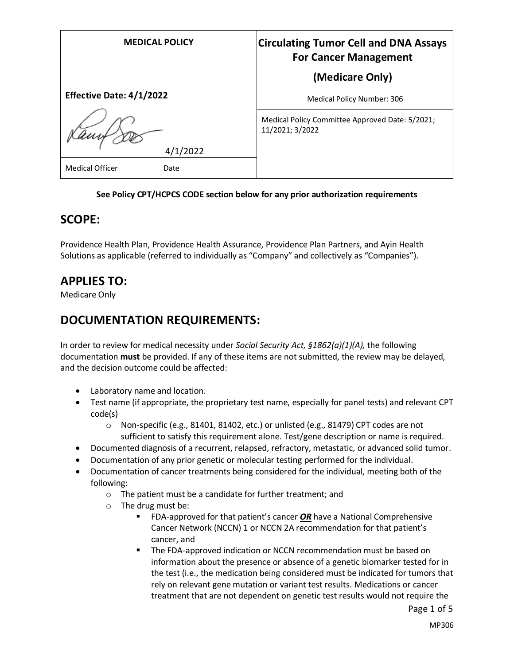| <b>MEDICAL POLICY</b>           | <b>Circulating Tumor Cell and DNA Assays</b><br><b>For Cancer Management</b><br>(Medicare Only) |
|---------------------------------|-------------------------------------------------------------------------------------------------|
| <b>Effective Date: 4/1/2022</b> | Medical Policy Number: 306                                                                      |
| 4/1/2022                        | Medical Policy Committee Approved Date: 5/2021;<br>11/2021; 3/2022                              |
| <b>Medical Officer</b><br>Date  |                                                                                                 |

#### **See Policy CPT/HCPCS CODE section below for any prior authorization requirements**

#### **SCOPE:**

Providence Health Plan, Providence Health Assurance, Providence Plan Partners, and Ayin Health Solutions as applicable (referred to individually as "Company" and collectively as "Companies").

### **APPLIES TO:**

Medicare Only

### **DOCUMENTATION REQUIREMENTS:**

In order to review for medical necessity under *Social Security Act, §1862(a)(1)(A),* the following documentation **must** be provided. If any of these items are not submitted, the review may be delayed, and the decision outcome could be affected:

- Laboratory name and location.
- Test name (if appropriate, the proprietary test name, especially for panel tests) and relevant CPT code(s)
	- o Non-specific (e.g., 81401, 81402, etc.) or unlisted (e.g., 81479) CPT codes are not sufficient to satisfy this requirement alone. Test/gene description or name is required.
- Documented diagnosis of a recurrent, relapsed, refractory, metastatic, or advanced solid tumor.
- Documentation of any prior genetic or molecular testing performed for the individual.
- Documentation of cancer treatments being considered for the individual, meeting both of the following:
	- o The patient must be a candidate for further treatment; and
	- o The drug must be:
		- FDA-approved for that patient's cancer **OR** have a National Comprehensive Cancer Network (NCCN) 1 or NCCN 2A recommendation for that patient's cancer, and
		- The FDA-approved indication or NCCN recommendation must be based on information about the presence or absence of a genetic biomarker tested for in the test (i.e., the medication being considered must be indicated for tumors that rely on relevant gene mutation or variant test results. Medications or cancer treatment that are not dependent on genetic test results would not require the

Page 1 of 5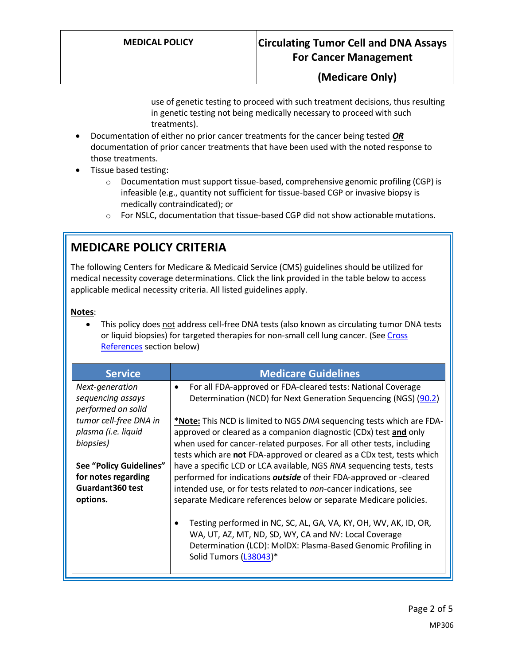### **(Medicare Only)**

use of genetic testing to proceed with such treatment decisions, thus resulting in genetic testing not being medically necessary to proceed with such treatments).

- Documentation of either no prior cancer treatments for the cancer being tested *OR* documentation of prior cancer treatments that have been used with the noted response to those treatments.
- Tissue based testing:
	- o Documentation must support tissue-based, comprehensive genomic profiling (CGP) is infeasible (e.g., quantity not sufficient for tissue-based CGP or invasive biopsy is medically contraindicated); or
	- $\circ$  For NSLC, documentation that tissue-based CGP did not show actionable mutations.

# **MEDICARE POLICY CRITERIA**

The following Centers for Medicare & Medicaid Service (CMS) guidelines should be utilized for medical necessity coverage determinations. Click the link provided in the table below to access applicable medical necessity criteria. All listed guidelines apply.

#### **Notes**:

This policy does not address cell-free DNA tests (also known as circulating tumor DNA tests or liquid biopsies) for targeted therapies for non-small cell lung cancer. (Se[e Cross](#page-4-0)  [References](#page-4-0) section below)

| <b>Service</b>                                                                         | <b>Medicare Guidelines</b>                                                                                                                                                                                                                                                                    |
|----------------------------------------------------------------------------------------|-----------------------------------------------------------------------------------------------------------------------------------------------------------------------------------------------------------------------------------------------------------------------------------------------|
| Next-generation<br>sequencing assays<br>performed on solid                             | For all FDA-approved or FDA-cleared tests: National Coverage<br>$\bullet$<br>Determination (NCD) for Next Generation Sequencing (NGS) (90.2)                                                                                                                                                  |
| tumor cell-free DNA in<br>plasma (i.e. liquid<br>biopsies)                             | *Note: This NCD is limited to NGS DNA sequencing tests which are FDA-<br>approved or cleared as a companion diagnostic (CDx) test and only<br>when used for cancer-related purposes. For all other tests, including<br>tests which are not FDA-approved or cleared as a CDx test, tests which |
| <b>See "Policy Guidelines"</b><br>for notes regarding<br>Guardant 360 test<br>options. | have a specific LCD or LCA available, NGS RNA sequencing tests, tests<br>performed for indications outside of their FDA-approved or -cleared<br>intended use, or for tests related to non-cancer indications, see<br>separate Medicare references below or separate Medicare policies.        |
|                                                                                        | Testing performed in NC, SC, AL, GA, VA, KY, OH, WV, AK, ID, OR,<br>$\bullet$<br>WA, UT, AZ, MT, ND, SD, WY, CA and NV: Local Coverage<br>Determination (LCD): MolDX: Plasma-Based Genomic Profiling in<br>Solid Tumors (L38043)*                                                             |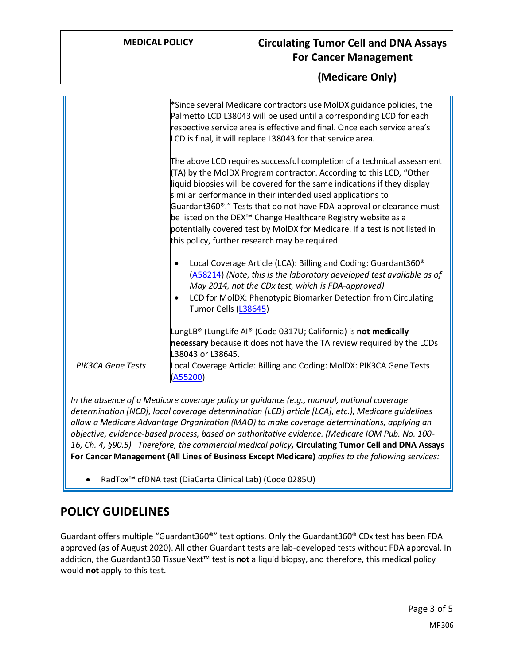### **MEDICAL POLICY Circulating Tumor Cell and DNA Assays For Cancer Management**

#### **(Medicare Only)**

|                          | *Since several Medicare contractors use MolDX guidance policies, the<br>Palmetto LCD L38043 will be used until a corresponding LCD for each<br>respective service area is effective and final. Once each service area's<br>LCD is final, it will replace L38043 for that service area.                                                                                                                                                                                                                                                                                       |
|--------------------------|------------------------------------------------------------------------------------------------------------------------------------------------------------------------------------------------------------------------------------------------------------------------------------------------------------------------------------------------------------------------------------------------------------------------------------------------------------------------------------------------------------------------------------------------------------------------------|
|                          | The above LCD requires successful completion of a technical assessment<br>(TA) by the MoIDX Program contractor. According to this LCD, "Other<br>liquid biopsies will be covered for the same indications if they display<br>similar performance in their intended used applications to<br>Guardant360®." Tests that do not have FDA-approval or clearance must<br>be listed on the DEX <sup>™</sup> Change Healthcare Registry website as a<br>potentially covered test by MolDX for Medicare. If a test is not listed in<br>this policy, further research may be required. |
|                          | Local Coverage Article (LCA): Billing and Coding: Guardant360 <sup>®</sup><br>(A58214) (Note, this is the laboratory developed test available as of<br>May 2014, not the CDx test, which is FDA-approved)<br>LCD for MolDX: Phenotypic Biomarker Detection from Circulating<br>$\bullet$<br>Tumor Cells (L38645)                                                                                                                                                                                                                                                             |
|                          | LungLB® (LungLife AI® (Code 0317U; California) is <b>not medically</b><br>necessary because it does not have the TA review required by the LCDs<br>L38043 or L38645.                                                                                                                                                                                                                                                                                                                                                                                                         |
| <b>PIK3CA Gene Tests</b> | Local Coverage Article: Billing and Coding: MoIDX: PIK3CA Gene Tests<br>(A55200)                                                                                                                                                                                                                                                                                                                                                                                                                                                                                             |

*In the absence of a Medicare coverage policy or guidance (e.g., manual, national coverage determination [NCD], local coverage determination [LCD] article [LCA], etc.), Medicare guidelines allow a Medicare Advantage Organization (MAO) to make coverage determinations, applying an objective, evidence-based process, based on authoritative evidence. (Medicare IOM Pub. No. 100- 16, Ch. 4, §90.5) Therefore, the commercial medical policy,* **Circulating Tumor Cell and DNA Assays For Cancer Management (All Lines of Business Except Medicare)** *applies to the following services:*

• RadTox™ cfDNA test (DiaCarta Clinical Lab) (Code 0285U)

### **POLICY GUIDELINES**

Guardant offers multiple "Guardant360®" test options. Only the Guardant360® CDx test has been FDA approved (as of August 2020). All other Guardant tests are lab-developed tests without FDA approval. In addition, the Guardant360 TissueNext™ test is **not** a liquid biopsy, and therefore, this medical policy would **not** apply to this test.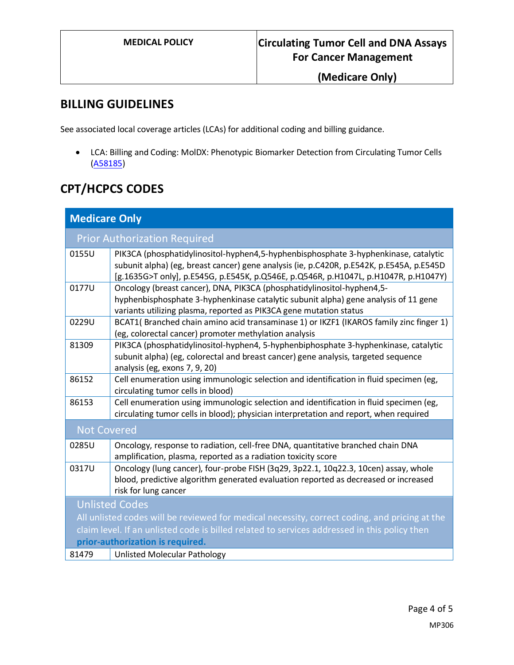**(Medicare Only)**

### **BILLING GUIDELINES**

See associated local coverage articles (LCAs) for additional coding and billing guidance.

• LCA: Billing and Coding: MolDX: Phenotypic Biomarker Detection from Circulating Tumor Cells [\(A58185\)](https://www.cms.gov/medicare-coverage-database/view/article.aspx?articleId=58185)

# **CPT/HCPCS CODES**

| <b>Medicare Only</b>                                                                          |                                                                                                                                                                                                                                                                        |  |
|-----------------------------------------------------------------------------------------------|------------------------------------------------------------------------------------------------------------------------------------------------------------------------------------------------------------------------------------------------------------------------|--|
|                                                                                               | <b>Prior Authorization Required</b>                                                                                                                                                                                                                                    |  |
| 0155U                                                                                         | PIK3CA (phosphatidylinositol-hyphen4,5-hyphenbisphosphate 3-hyphenkinase, catalytic<br>subunit alpha) (eg, breast cancer) gene analysis (ie, p.C420R, p.E542K, p.E545A, p.E545D<br>[g.1635G>T only], p.E545G, p.E545K, p.Q546E, p.Q546R, p.H1047L, p.H1047R, p.H1047Y) |  |
| 0177U                                                                                         | Oncology (breast cancer), DNA, PIK3CA (phosphatidylinositol-hyphen4,5-<br>hyphenbisphosphate 3-hyphenkinase catalytic subunit alpha) gene analysis of 11 gene<br>variants utilizing plasma, reported as PIK3CA gene mutation status                                    |  |
| 0229U                                                                                         | BCAT1(Branched chain amino acid transaminase 1) or IKZF1 (IKAROS family zinc finger 1)<br>(eg, colorectal cancer) promoter methylation analysis                                                                                                                        |  |
| 81309                                                                                         | PIK3CA (phosphatidylinositol-hyphen4, 5-hyphenbiphosphate 3-hyphenkinase, catalytic<br>subunit alpha) (eg, colorectal and breast cancer) gene analysis, targeted sequence<br>analysis (eg, exons 7, 9, 20)                                                             |  |
| 86152                                                                                         | Cell enumeration using immunologic selection and identification in fluid specimen (eg,<br>circulating tumor cells in blood)                                                                                                                                            |  |
| 86153                                                                                         | Cell enumeration using immunologic selection and identification in fluid specimen (eg,<br>circulating tumor cells in blood); physician interpretation and report, when required                                                                                        |  |
| <b>Not Covered</b>                                                                            |                                                                                                                                                                                                                                                                        |  |
| 0285U                                                                                         | Oncology, response to radiation, cell-free DNA, quantitative branched chain DNA<br>amplification, plasma, reported as a radiation toxicity score                                                                                                                       |  |
| 0317U                                                                                         | Oncology (lung cancer), four-probe FISH (3q29, 3p22.1, 10q22.3, 10cen) assay, whole<br>blood, predictive algorithm generated evaluation reported as decreased or increased<br>risk for lung cancer                                                                     |  |
| <b>Unlisted Codes</b>                                                                         |                                                                                                                                                                                                                                                                        |  |
| All unlisted codes will be reviewed for medical necessity, correct coding, and pricing at the |                                                                                                                                                                                                                                                                        |  |
| claim level. If an unlisted code is billed related to services addressed in this policy then  |                                                                                                                                                                                                                                                                        |  |
| prior-authorization is required.                                                              |                                                                                                                                                                                                                                                                        |  |
| 81479                                                                                         | <b>Unlisted Molecular Pathology</b>                                                                                                                                                                                                                                    |  |